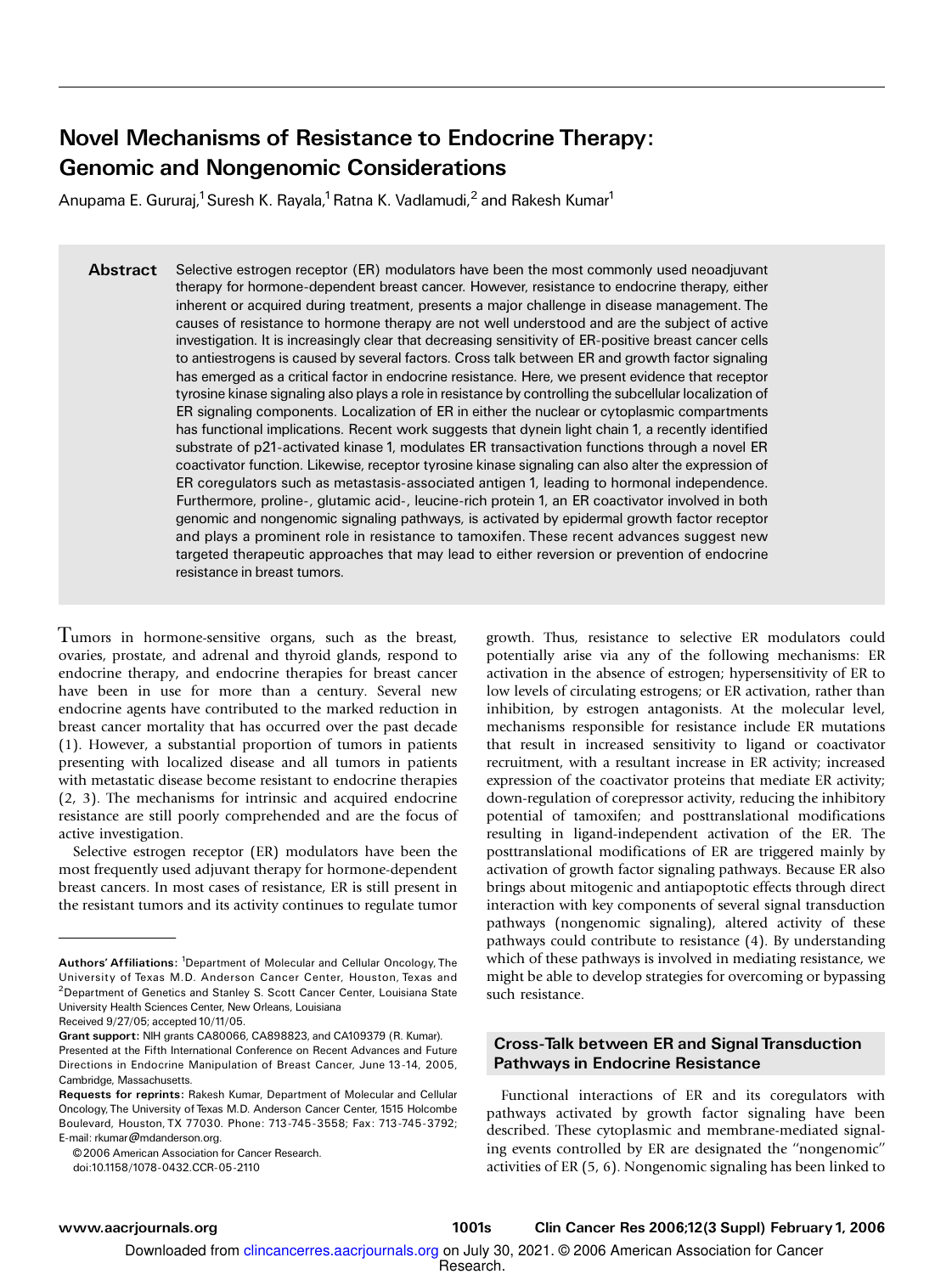### Novel Mechanisms of Resistance to Endocrine Therapy: Genomic and Nongenomic Considerations

Anupama E. Gururaj,<sup>1</sup> Suresh K. Rayala,<sup>1</sup> Ratna K. Vadlamudi,<sup>2</sup> and Rakesh Kumar<sup>1</sup>

Abstract Selective estrogen receptor (ER) modulators have been the most commonly used neoadjuvant therapy for hormone-dependent breast cancer. However, resistance to endocrine therapy, either inherent or acquired during treatment, presents a major challenge in disease management. The causes of resistance to hormone therapy are not well understood and are the subject of active investigation. It is increasingly clear that decreasing sensitivity of ER-positive breast cancer cells to antiestrogens is caused by several factors. Cross talk between ER and growth factor signaling has emerged as a critical factor in endocrine resistance. Here, we present evidence that receptor tyrosine kinase signaling also plays a role in resistance by controlling the subcellular localization of ER signaling components. Localization of ER in either the nuclear or cytoplasmic compartments has functional implications. Recent work suggests that dynein light chain 1, a recently identified substrate of p21-activated kinase 1, modulates ER transactivation functions through a novel ER coactivator function. Likewise, receptor tyrosine kinase signaling can also alter the expression of ER coregulators such as metastasis-associated antigen 1, leading to hormonal independence. Furthermore, proline-, glutamic acid-, leucine-rich protein 1, an ER coactivator involved in both genomic and nongenomic signaling pathways, is activated by epidermal growth factor receptor and plays a prominent role in resistance to tamoxifen. These recent advances suggest new targeted therapeutic approaches that may lead to either reversion or prevention of endocrine resistance in breast tumors.

Tumors in hormone-sensitive organs, such as the breast, ovaries, prostate, and adrenal and thyroid glands, respond to endocrine therapy, and endocrine therapies for breast cancer have been in use for more than a century. Several new endocrine agents have contributed to the marked reduction in breast cancer mortality that has occurred over the past decade (1). However, a substantial proportion of tumors in patients presenting with localized disease and all tumors in patients with metastatic disease become resistant to endocrine therapies (2, 3). The mechanisms for intrinsic and acquired endocrine resistance are still poorly comprehended and are the focus of active investigation.

Selective estrogen receptor (ER) modulators have been the most frequently used adjuvant therapy for hormone-dependent breast cancers. In most cases of resistance, ER is still present in the resistant tumors and its activity continues to regulate tumor

© 2006 American Association for Cancer Research. doi:10.1158/1078-0432.CCR-05-2110

activation in the absence of estrogen; hypersensitivity of ER to low levels of circulating estrogens; or ER activation, rather than inhibition, by estrogen antagonists. At the molecular level, mechanisms responsible for resistance include ER mutations that result in increased sensitivity to ligand or coactivator recruitment, with a resultant increase in ER activity; increased expression of the coactivator proteins that mediate ER activity; down-regulation of corepressor activity, reducing the inhibitory potential of tamoxifen; and posttranslational modifications resulting in ligand-independent activation of the ER. The posttranslational modifications of ER are triggered mainly by activation of growth factor signaling pathways. Because ER also brings about mitogenic and antiapoptotic effects through direct interaction with key components of several signal transduction pathways (nongenomic signaling), altered activity of these pathways could contribute to resistance (4). By understanding which of these pathways is involved in mediating resistance, we might be able to develop strategies for overcoming or bypassing such resistance.

growth. Thus, resistance to selective ER modulators could potentially arise via any of the following mechanisms: ER

#### Cross-Talk between ER and Signal Transduction Pathways in Endocrine Resistance

Functional interactions of ER and its coregulators with pathways activated by growth factor signaling have been described. These cytoplasmic and membrane-mediated signaling events controlled by ER are designated the ''nongenomic'' activities of ER (5, 6). Nongenomic signaling has been linked to

www.aacrjournals.org 1001s Clin Cancer Res 2006;12(3 Suppl) February 1, 2006

Authors' Affiliations: <sup>1</sup>Department of Molecular and Cellular Oncology, The University of Texas M.D. Anderson Cancer Center, Houston, Texas and  $2$ Department of Genetics and Stanley S. Scott Cancer Center, Louisiana State University Health Sciences Center, New Orleans, Louisiana

Received 9/27/05; accepted 10/11/05. Grant support: NIH grants CA80066, CA898823, and CA109379 (R. Kumar).

Presented at the Fifth International Conference on Recent Advances and Future Directions in Endocrine Manipulation of Breast Cancer, June 13-14, 2005, Cambridge, Massachusetts.

Requests for reprints: Rakesh Kumar, Department of Molecular and Cellular Oncology, The University of Texas M.D. Anderson Cancer Center, 1515 Holcombe Boulevard, Houston, TX 77030. Phone: 713-745-3558; Fax: 713-745-3792; E-mail: rkumar@mdanderson.org.

Downloaded from clincancerres.aacrjournals.org on July 30, 2021. @ 2006 American Association for Cancer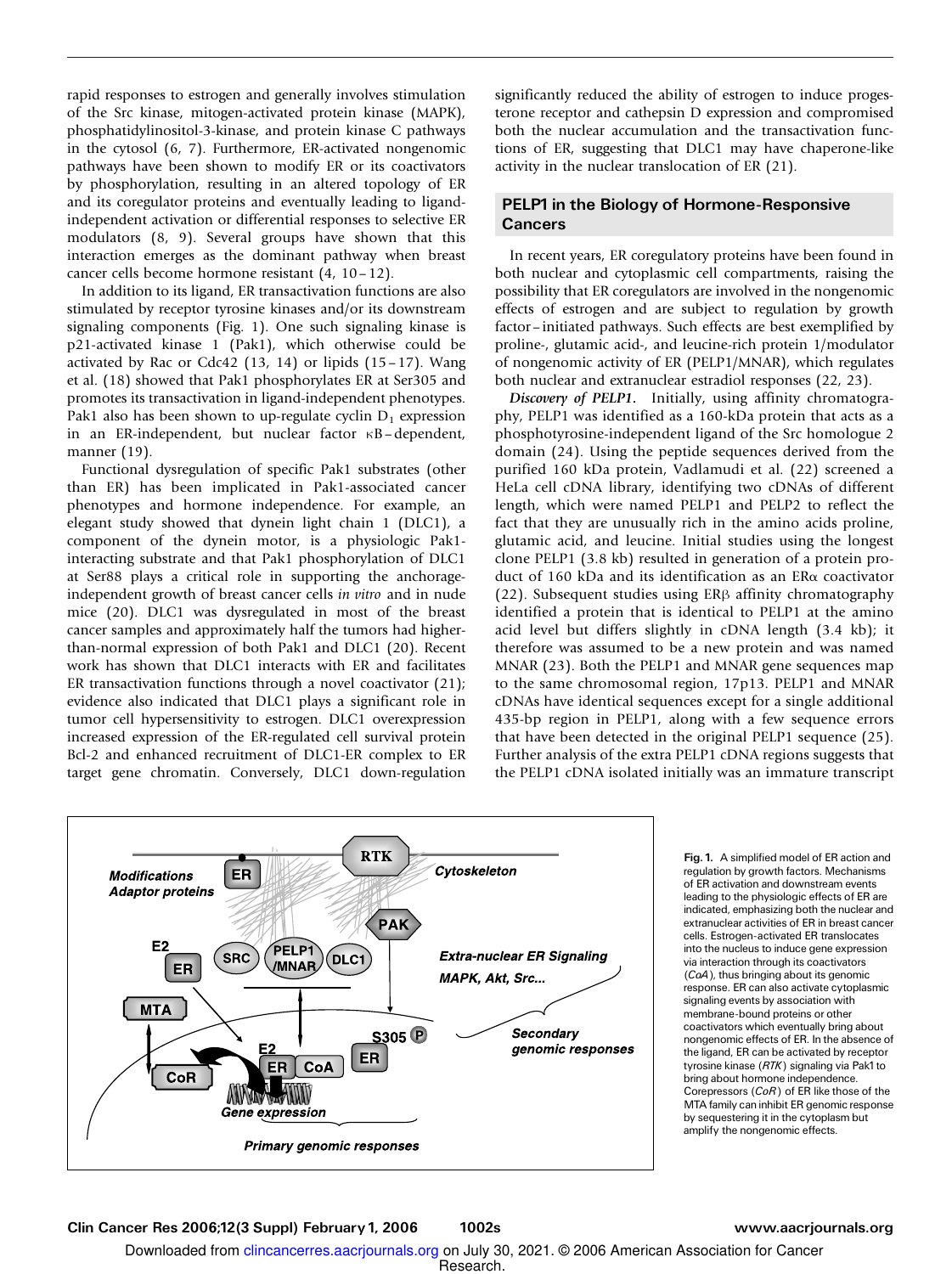rapid responses to estrogen and generally involves stimulation of the Src kinase, mitogen-activated protein kinase (MAPK), phosphatidylinositol-3-kinase, and protein kinase C pathways in the cytosol (6, 7). Furthermore, ER-activated nongenomic pathways have been shown to modify ER or its coactivators by phosphorylation, resulting in an altered topology of ER and its coregulator proteins and eventually leading to ligandindependent activation or differential responses to selective ER modulators (8, 9). Several groups have shown that this interaction emerges as the dominant pathway when breast cancer cells become hormone resistant (4, 10–12).

In addition to its ligand, ER transactivation functions are also stimulated by receptor tyrosine kinases and/or its downstream signaling components (Fig. 1). One such signaling kinase is p21-activated kinase 1 (Pak1), which otherwise could be activated by Rac or Cdc42 (13, 14) or lipids  $(15-17)$ . Wang et al. (18) showed that Pak1 phosphorylates ER at Ser305 and promotes its transactivation in ligand-independent phenotypes. Pak1 also has been shown to up-regulate cyclin  $D_1$  expression in an ER-independent, but nuclear factor  $\kappa$ B-dependent, manner (19).

Functional dysregulation of specific Pak1 substrates (other than ER) has been implicated in Pak1-associated cancer phenotypes and hormone independence. For example, an elegant study showed that dynein light chain 1 (DLC1), a component of the dynein motor, is a physiologic Pak1 interacting substrate and that Pak1 phosphorylation of DLC1 at Ser88 plays a critical role in supporting the anchorageindependent growth of breast cancer cells in vitro and in nude mice (20). DLC1 was dysregulated in most of the breast cancer samples and approximately half the tumors had higherthan-normal expression of both Pak1 and DLC1 (20). Recent work has shown that DLC1 interacts with ER and facilitates ER transactivation functions through a novel coactivator (21); evidence also indicated that DLC1 plays a significant role in tumor cell hypersensitivity to estrogen. DLC1 overexpression increased expression of the ER-regulated cell survival protein Bcl-2 and enhanced recruitment of DLC1-ER complex to ER target gene chromatin. Conversely, DLC1 down-regulation

significantly reduced the ability of estrogen to induce progesterone receptor and cathepsin D expression and compromised both the nuclear accumulation and the transactivation functions of ER, suggesting that DLC1 may have chaperone-like activity in the nuclear translocation of ER (21).

#### PELP1 in the Biology of Hormone-Responsive Cancers

In recent years, ER coregulatory proteins have been found in both nuclear and cytoplasmic cell compartments, raising the possibility that ER coregulators are involved in the nongenomic effects of estrogen and are subject to regulation by growth factor –initiated pathways. Such effects are best exemplified by proline-, glutamic acid-, and leucine-rich protein 1/modulator of nongenomic activity of ER (PELP1/MNAR), which regulates both nuclear and extranuclear estradiol responses (22, 23).

Discovery of PELP1. Initially, using affinity chromatography, PELP1 was identified as a 160-kDa protein that acts as a phosphotyrosine-independent ligand of the Src homologue 2 domain (24). Using the peptide sequences derived from the purified 160 kDa protein, Vadlamudi et al. (22) screened a HeLa cell cDNA library, identifying two cDNAs of different length, which were named PELP1 and PELP2 to reflect the fact that they are unusually rich in the amino acids proline, glutamic acid, and leucine. Initial studies using the longest clone PELP1 (3.8 kb) resulted in generation of a protein product of 160 kDa and its identification as an ERa coactivator (22). Subsequent studies using  $ER\beta$  affinity chromatography identified a protein that is identical to PELP1 at the amino acid level but differs slightly in cDNA length (3.4 kb); it therefore was assumed to be a new protein and was named MNAR (23). Both the PELP1 and MNAR gene sequences map to the same chromosomal region, 17p13. PELP1 and MNAR cDNAs have identical sequences except for a single additional 435-bp region in PELP1, along with a few sequence errors that have been detected in the original PELP1 sequence (25). Further analysis of the extra PELP1 cDNA regions suggests that the PELP1 cDNA isolated initially was an immature transcript



Fig. 1. A simplified model of ER action and regulation by growth factors. Mechanisms of ER activation and downstream events leading to the physiologic effects of ER are indicated, emphasizing both the nuclear and extranuclear activities of ER in breast cancer cells. Estrogen-activated ER translocates into the nucleus to induce gene expression via interaction through its coactivators (CoA), thus bringing about its genomic response. ER can also activate cytoplasmic signaling events by association with membrane-bound proteins or other coactivators which eventually bring about nongenomic effects of ER. In the absence of the ligand, ER can be activated by receptor tyrosine kinase (RTK) signaling via Pak1 to bring about hormone independence. Corepressors (CoR) of ER like those of the MTA family can inhibit ER genomic response by sequestering it in the cytoplasm but amplify the nongenomic effects.

Research. Downloaded from clincancerres.aacrjournals.org on July 30, 2021. © 2006 American Association for Cancer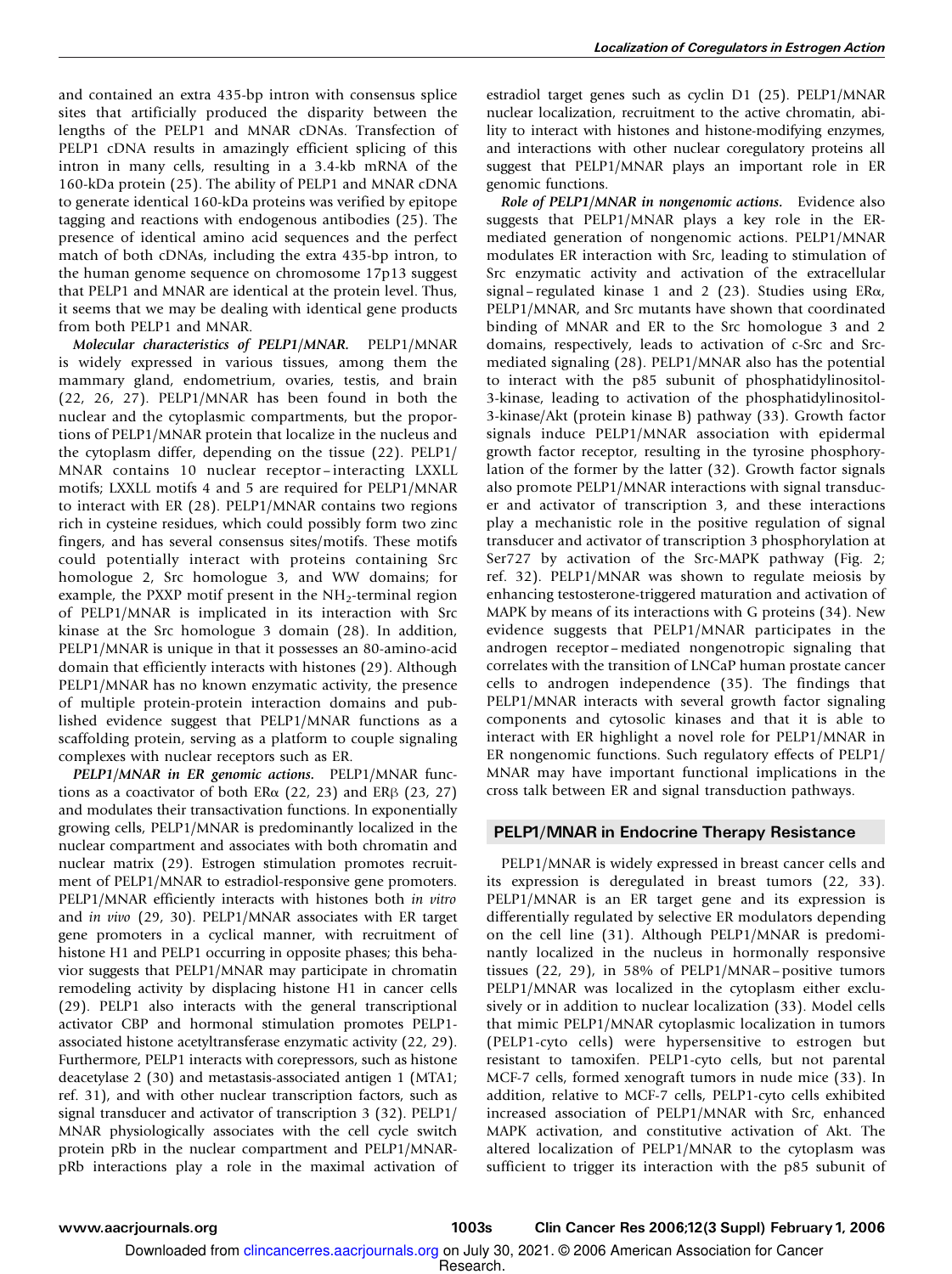and contained an extra 435-bp intron with consensus splice sites that artificially produced the disparity between the lengths of the PELP1 and MNAR cDNAs. Transfection of PELP1 cDNA results in amazingly efficient splicing of this intron in many cells, resulting in a 3.4-kb mRNA of the 160-kDa protein (25). The ability of PELP1 and MNAR cDNA to generate identical 160-kDa proteins was verified by epitope tagging and reactions with endogenous antibodies (25). The presence of identical amino acid sequences and the perfect match of both cDNAs, including the extra 435-bp intron, to the human genome sequence on chromosome 17p13 suggest that PELP1 and MNAR are identical at the protein level. Thus, it seems that we may be dealing with identical gene products from both PELP1 and MNAR.

Molecular characteristics of PELP1/MNAR. PELP1/MNAR is widely expressed in various tissues, among them the mammary gland, endometrium, ovaries, testis, and brain (22, 26, 27). PELP1/MNAR has been found in both the nuclear and the cytoplasmic compartments, but the proportions of PELP1/MNAR protein that localize in the nucleus and the cytoplasm differ, depending on the tissue (22). PELP1/ MNAR contains 10 nuclear receptor –interacting LXXLL motifs; LXXLL motifs 4 and 5 are required for PELP1/MNAR to interact with ER (28). PELP1/MNAR contains two regions rich in cysteine residues, which could possibly form two zinc fingers, and has several consensus sites/motifs. These motifs could potentially interact with proteins containing Src homologue 2, Src homologue 3, and WW domains; for example, the PXXP motif present in the  $NH<sub>2</sub>$ -terminal region of PELP1/MNAR is implicated in its interaction with Src kinase at the Src homologue 3 domain (28). In addition, PELP1/MNAR is unique in that it possesses an 80-amino-acid domain that efficiently interacts with histones (29). Although PELP1/MNAR has no known enzymatic activity, the presence of multiple protein-protein interaction domains and published evidence suggest that PELP1/MNAR functions as a scaffolding protein, serving as a platform to couple signaling complexes with nuclear receptors such as ER.

PELP1/MNAR in ER genomic actions. PELP1/MNAR functions as a coactivator of both ER $\alpha$  (22, 23) and ER $\beta$  (23, 27) and modulates their transactivation functions. In exponentially growing cells, PELP1/MNAR is predominantly localized in the nuclear compartment and associates with both chromatin and nuclear matrix (29). Estrogen stimulation promotes recruitment of PELP1/MNAR to estradiol-responsive gene promoters. PELP1/MNAR efficiently interacts with histones both in vitro and in vivo (29, 30). PELP1/MNAR associates with ER target gene promoters in a cyclical manner, with recruitment of histone H1 and PELP1 occurring in opposite phases; this behavior suggests that PELP1/MNAR may participate in chromatin remodeling activity by displacing histone H1 in cancer cells (29). PELP1 also interacts with the general transcriptional activator CBP and hormonal stimulation promotes PELP1 associated histone acetyltransferase enzymatic activity (22, 29). Furthermore, PELP1 interacts with corepressors, such as histone deacetylase 2 (30) and metastasis-associated antigen 1 (MTA1; ref. 31), and with other nuclear transcription factors, such as signal transducer and activator of transcription 3 (32). PELP1/ MNAR physiologically associates with the cell cycle switch protein pRb in the nuclear compartment and PELP1/MNARpRb interactions play a role in the maximal activation of estradiol target genes such as cyclin D1 (25). PELP1/MNAR nuclear localization, recruitment to the active chromatin, ability to interact with histones and histone-modifying enzymes, and interactions with other nuclear coregulatory proteins all suggest that PELP1/MNAR plays an important role in ER genomic functions.

Role of PELP1/MNAR in nongenomic actions. Evidence also suggests that PELP1/MNAR plays a key role in the ERmediated generation of nongenomic actions. PELP1/MNAR modulates ER interaction with Src, leading to stimulation of Src enzymatic activity and activation of the extracellular signal – regulated kinase 1 and 2 (23). Studies using  $ER\alpha$ , PELP1/MNAR, and Src mutants have shown that coordinated binding of MNAR and ER to the Src homologue 3 and 2 domains, respectively, leads to activation of c-Src and Srcmediated signaling (28). PELP1/MNAR also has the potential to interact with the p85 subunit of phosphatidylinositol-3-kinase, leading to activation of the phosphatidylinositol-3-kinase/Akt (protein kinase B) pathway (33). Growth factor signals induce PELP1/MNAR association with epidermal growth factor receptor, resulting in the tyrosine phosphorylation of the former by the latter (32). Growth factor signals also promote PELP1/MNAR interactions with signal transducer and activator of transcription 3, and these interactions play a mechanistic role in the positive regulation of signal transducer and activator of transcription 3 phosphorylation at Ser727 by activation of the Src-MAPK pathway (Fig. 2; ref. 32). PELP1/MNAR was shown to regulate meiosis by enhancing testosterone-triggered maturation and activation of MAPK by means of its interactions with G proteins (34). New evidence suggests that PELP1/MNAR participates in the androgen receptor –mediated nongenotropic signaling that correlates with the transition of LNCaP human prostate cancer cells to androgen independence (35). The findings that PELP1/MNAR interacts with several growth factor signaling components and cytosolic kinases and that it is able to interact with ER highlight a novel role for PELP1/MNAR in ER nongenomic functions. Such regulatory effects of PELP1/ MNAR may have important functional implications in the cross talk between ER and signal transduction pathways.

#### PELP1/MNAR in Endocrine Therapy Resistance

PELP1/MNAR is widely expressed in breast cancer cells and its expression is deregulated in breast tumors (22, 33). PELP1/MNAR is an ER target gene and its expression is differentially regulated by selective ER modulators depending on the cell line (31). Although PELP1/MNAR is predominantly localized in the nucleus in hormonally responsive tissues (22, 29), in 58% of PELP1/MNAR – positive tumors PELP1/MNAR was localized in the cytoplasm either exclusively or in addition to nuclear localization (33). Model cells that mimic PELP1/MNAR cytoplasmic localization in tumors (PELP1-cyto cells) were hypersensitive to estrogen but resistant to tamoxifen. PELP1-cyto cells, but not parental MCF-7 cells, formed xenograft tumors in nude mice (33). In addition, relative to MCF-7 cells, PELP1-cyto cells exhibited increased association of PELP1/MNAR with Src, enhanced MAPK activation, and constitutive activation of Akt. The altered localization of PELP1/MNAR to the cytoplasm was sufficient to trigger its interaction with the p85 subunit of

#### www.aacrjournals.org 1003s Clin Cancer Res 2006;12(3 Suppl) February 1, 2006

Downloaded from clincancerres.aacrjournals.org on July 30, 2021. © 2006 American Association for Cancer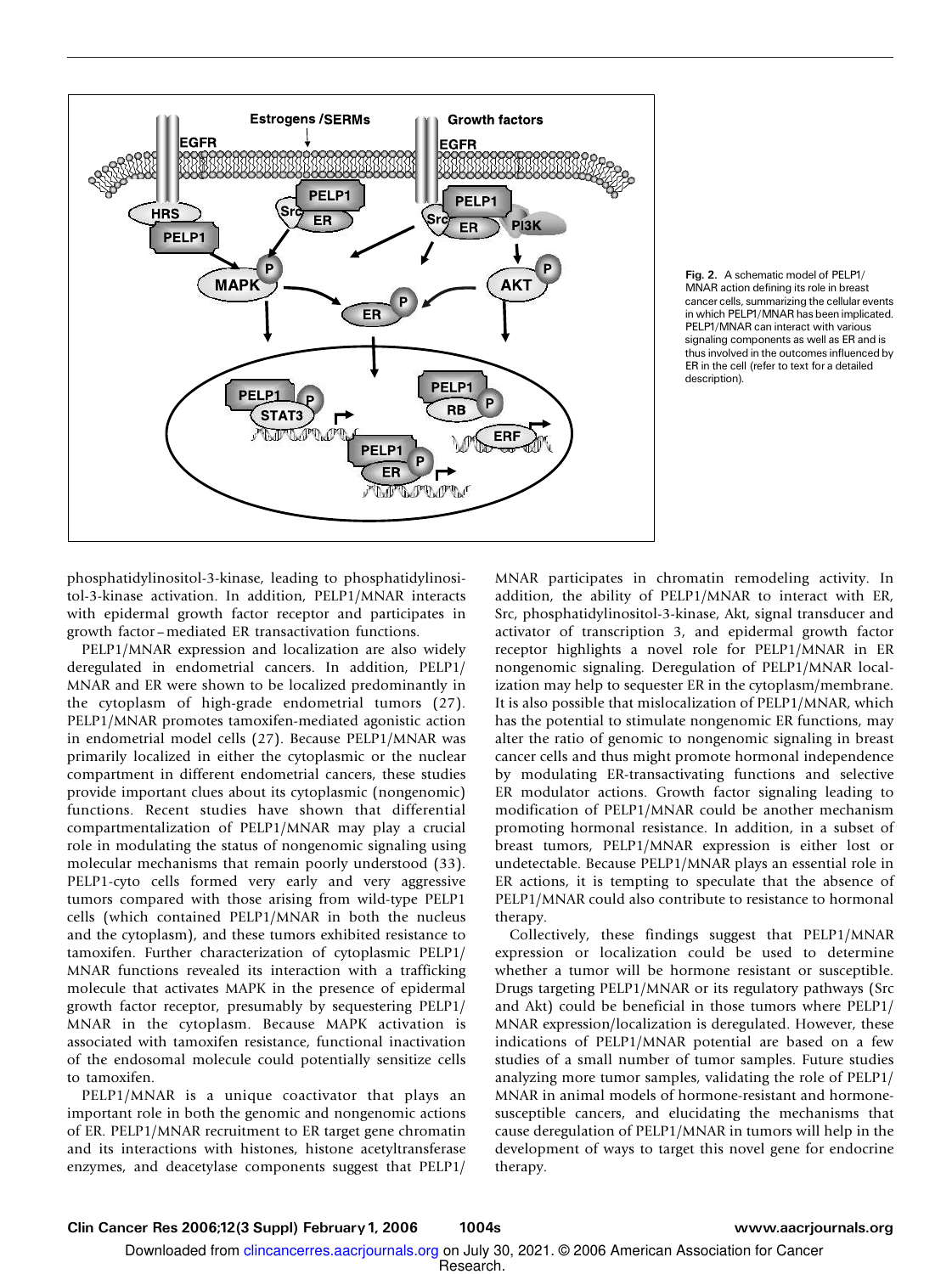



phosphatidylinositol-3-kinase, leading to phosphatidylinositol-3-kinase activation. In addition, PELP1/MNAR interacts with epidermal growth factor receptor and participates in growth factor –mediated ER transactivation functions.

PELP1/MNAR expression and localization are also widely deregulated in endometrial cancers. In addition, PELP1/ MNAR and ER were shown to be localized predominantly in the cytoplasm of high-grade endometrial tumors (27). PELP1/MNAR promotes tamoxifen-mediated agonistic action in endometrial model cells (27). Because PELP1/MNAR was primarily localized in either the cytoplasmic or the nuclear compartment in different endometrial cancers, these studies provide important clues about its cytoplasmic (nongenomic) functions. Recent studies have shown that differential compartmentalization of PELP1/MNAR may play a crucial role in modulating the status of nongenomic signaling using molecular mechanisms that remain poorly understood (33). PELP1-cyto cells formed very early and very aggressive tumors compared with those arising from wild-type PELP1 cells (which contained PELP1/MNAR in both the nucleus and the cytoplasm), and these tumors exhibited resistance to tamoxifen. Further characterization of cytoplasmic PELP1/ MNAR functions revealed its interaction with a trafficking molecule that activates MAPK in the presence of epidermal growth factor receptor, presumably by sequestering PELP1/ MNAR in the cytoplasm. Because MAPK activation is associated with tamoxifen resistance, functional inactivation of the endosomal molecule could potentially sensitize cells to tamoxifen.

PELP1/MNAR is a unique coactivator that plays an important role in both the genomic and nongenomic actions of ER. PELP1/MNAR recruitment to ER target gene chromatin and its interactions with histones, histone acetyltransferase enzymes, and deacetylase components suggest that PELP1/

MNAR participates in chromatin remodeling activity. In addition, the ability of PELP1/MNAR to interact with ER, Src, phosphatidylinositol-3-kinase, Akt, signal transducer and activator of transcription 3, and epidermal growth factor receptor highlights a novel role for PELP1/MNAR in ER nongenomic signaling. Deregulation of PELP1/MNAR localization may help to sequester ER in the cytoplasm/membrane. It is also possible that mislocalization of PELP1/MNAR, which has the potential to stimulate nongenomic ER functions, may alter the ratio of genomic to nongenomic signaling in breast cancer cells and thus might promote hormonal independence by modulating ER-transactivating functions and selective ER modulator actions. Growth factor signaling leading to modification of PELP1/MNAR could be another mechanism promoting hormonal resistance. In addition, in a subset of breast tumors, PELP1/MNAR expression is either lost or undetectable. Because PELP1/MNAR plays an essential role in ER actions, it is tempting to speculate that the absence of PELP1/MNAR could also contribute to resistance to hormonal therapy.

Collectively, these findings suggest that PELP1/MNAR expression or localization could be used to determine whether a tumor will be hormone resistant or susceptible. Drugs targeting PELP1/MNAR or its regulatory pathways (Src and Akt) could be beneficial in those tumors where PELP1/ MNAR expression/localization is deregulated. However, these indications of PELP1/MNAR potential are based on a few studies of a small number of tumor samples. Future studies analyzing more tumor samples, validating the role of PELP1/ MNAR in animal models of hormone-resistant and hormonesusceptible cancers, and elucidating the mechanisms that cause deregulation of PELP1/MNAR in tumors will help in the development of ways to target this novel gene for endocrine therapy.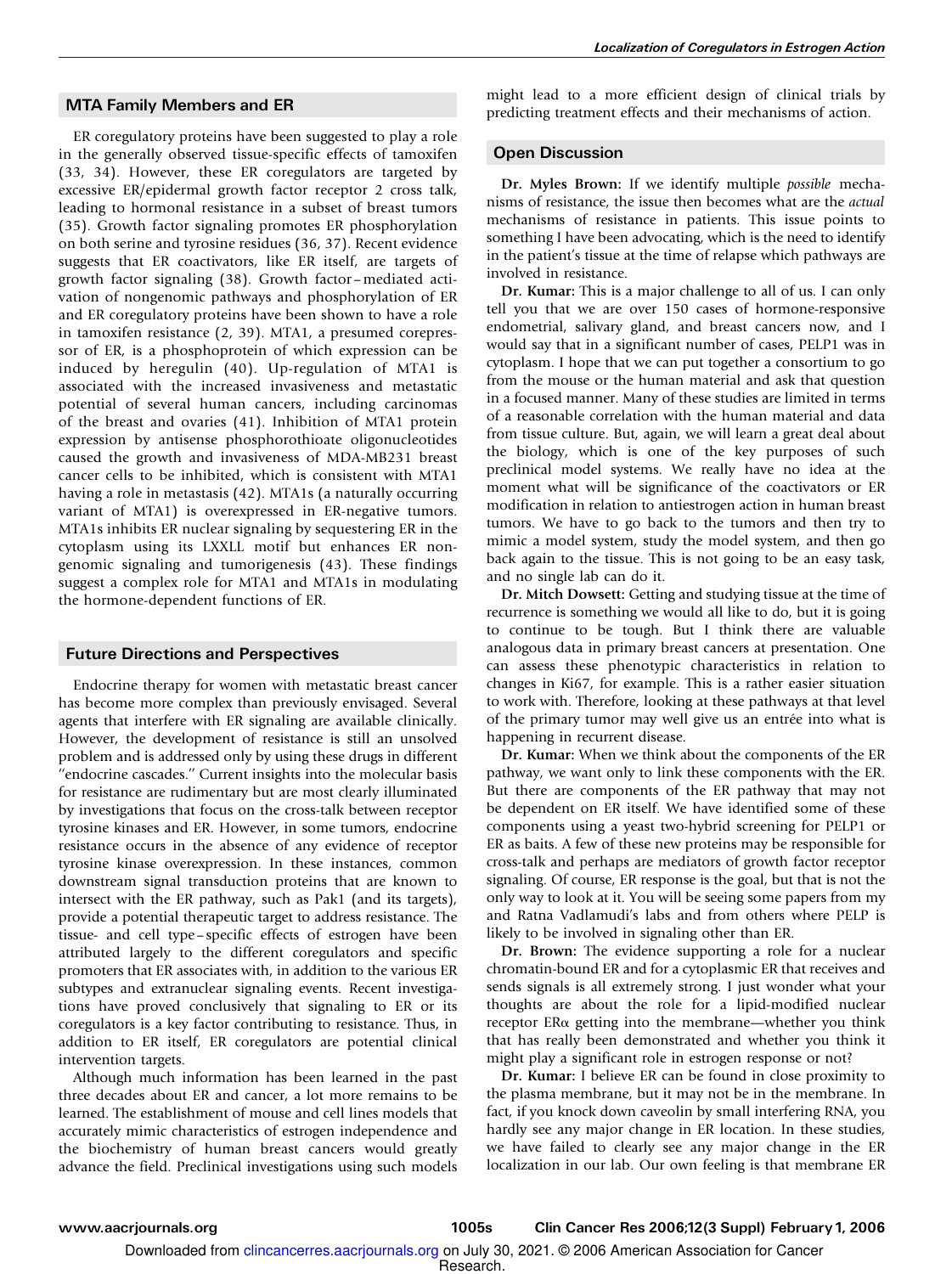#### MTA Family Members and ER

ER coregulatory proteins have been suggested to play a role in the generally observed tissue-specific effects of tamoxifen (33, 34). However, these ER coregulators are targeted by excessive ER/epidermal growth factor receptor 2 cross talk, leading to hormonal resistance in a subset of breast tumors (35). Growth factor signaling promotes ER phosphorylation on both serine and tyrosine residues (36, 37). Recent evidence suggests that ER coactivators, like ER itself, are targets of growth factor signaling (38). Growth factor –mediated activation of nongenomic pathways and phosphorylation of ER and ER coregulatory proteins have been shown to have a role in tamoxifen resistance (2, 39). MTA1, a presumed corepressor of ER, is a phosphoprotein of which expression can be induced by heregulin (40). Up-regulation of MTA1 is associated with the increased invasiveness and metastatic potential of several human cancers, including carcinomas of the breast and ovaries (41). Inhibition of MTA1 protein expression by antisense phosphorothioate oligonucleotides caused the growth and invasiveness of MDA-MB231 breast cancer cells to be inhibited, which is consistent with MTA1 having a role in metastasis (42). MTA1s (a naturally occurring variant of MTA1) is overexpressed in ER-negative tumors. MTA1s inhibits ER nuclear signaling by sequestering ER in the cytoplasm using its LXXLL motif but enhances ER nongenomic signaling and tumorigenesis (43). These findings suggest a complex role for MTA1 and MTA1s in modulating the hormone-dependent functions of ER.

#### Future Directions and Perspectives

Endocrine therapy for women with metastatic breast cancer has become more complex than previously envisaged. Several agents that interfere with ER signaling are available clinically. However, the development of resistance is still an unsolved problem and is addressed only by using these drugs in different "endocrine cascades." Current insights into the molecular basis for resistance are rudimentary but are most clearly illuminated by investigations that focus on the cross-talk between receptor tyrosine kinases and ER. However, in some tumors, endocrine resistance occurs in the absence of any evidence of receptor tyrosine kinase overexpression. In these instances, common downstream signal transduction proteins that are known to intersect with the ER pathway, such as Pak1 (and its targets), provide a potential therapeutic target to address resistance. The tissue- and cell type – specific effects of estrogen have been attributed largely to the different coregulators and specific promoters that ER associates with, in addition to the various ER subtypes and extranuclear signaling events. Recent investigations have proved conclusively that signaling to ER or its coregulators is a key factor contributing to resistance. Thus, in addition to ER itself, ER coregulators are potential clinical intervention targets.

Although much information has been learned in the past three decades about ER and cancer, a lot more remains to be learned. The establishment of mouse and cell lines models that accurately mimic characteristics of estrogen independence and the biochemistry of human breast cancers would greatly advance the field. Preclinical investigations using such models might lead to a more efficient design of clinical trials by predicting treatment effects and their mechanisms of action.

#### Open Discussion

Dr. Myles Brown: If we identify multiple possible mechanisms of resistance, the issue then becomes what are the actual mechanisms of resistance in patients. This issue points to something I have been advocating, which is the need to identify in the patient's tissue at the time of relapse which pathways are involved in resistance.

Dr. Kumar: This is a major challenge to all of us. I can only tell you that we are over 150 cases of hormone-responsive endometrial, salivary gland, and breast cancers now, and I would say that in a significant number of cases, PELP1 was in cytoplasm. I hope that we can put together a consortium to go from the mouse or the human material and ask that question in a focused manner. Many of these studies are limited in terms of a reasonable correlation with the human material and data from tissue culture. But, again, we will learn a great deal about the biology, which is one of the key purposes of such preclinical model systems. We really have no idea at the moment what will be significance of the coactivators or ER modification in relation to antiestrogen action in human breast tumors. We have to go back to the tumors and then try to mimic a model system, study the model system, and then go back again to the tissue. This is not going to be an easy task, and no single lab can do it.

Dr. Mitch Dowsett: Getting and studying tissue at the time of recurrence is something we would all like to do, but it is going to continue to be tough. But I think there are valuable analogous data in primary breast cancers at presentation. One can assess these phenotypic characteristics in relation to changes in Ki67, for example. This is a rather easier situation to work with. Therefore, looking at these pathways at that level of the primary tumor may well give us an entrée into what is happening in recurrent disease.

Dr. Kumar: When we think about the components of the ER pathway, we want only to link these components with the ER. But there are components of the ER pathway that may not be dependent on ER itself. We have identified some of these components using a yeast two-hybrid screening for PELP1 or ER as baits. A few of these new proteins may be responsible for cross-talk and perhaps are mediators of growth factor receptor signaling. Of course, ER response is the goal, but that is not the only way to look at it. You will be seeing some papers from my and Ratna Vadlamudi's labs and from others where PELP is likely to be involved in signaling other than ER.

Dr. Brown: The evidence supporting a role for a nuclear chromatin-bound ER and for a cytoplasmic ER that receives and sends signals is all extremely strong. I just wonder what your thoughts are about the role for a lipid-modified nuclear receptor  $ER\alpha$  getting into the membrane—whether you think that has really been demonstrated and whether you think it might play a significant role in estrogen response or not?

Dr. Kumar: I believe ER can be found in close proximity to the plasma membrane, but it may not be in the membrane. In fact, if you knock down caveolin by small interfering RNA, you hardly see any major change in ER location. In these studies, we have failed to clearly see any major change in the ER localization in our lab. Our own feeling is that membrane ER

www.aacrjournals.org 1005s Clin Cancer Res 2006;12(3 Suppl) February 1, 2006

Downloaded from clincancerres.aacrjournals.org on July 30, 2021. © 2006 American Association for Cancer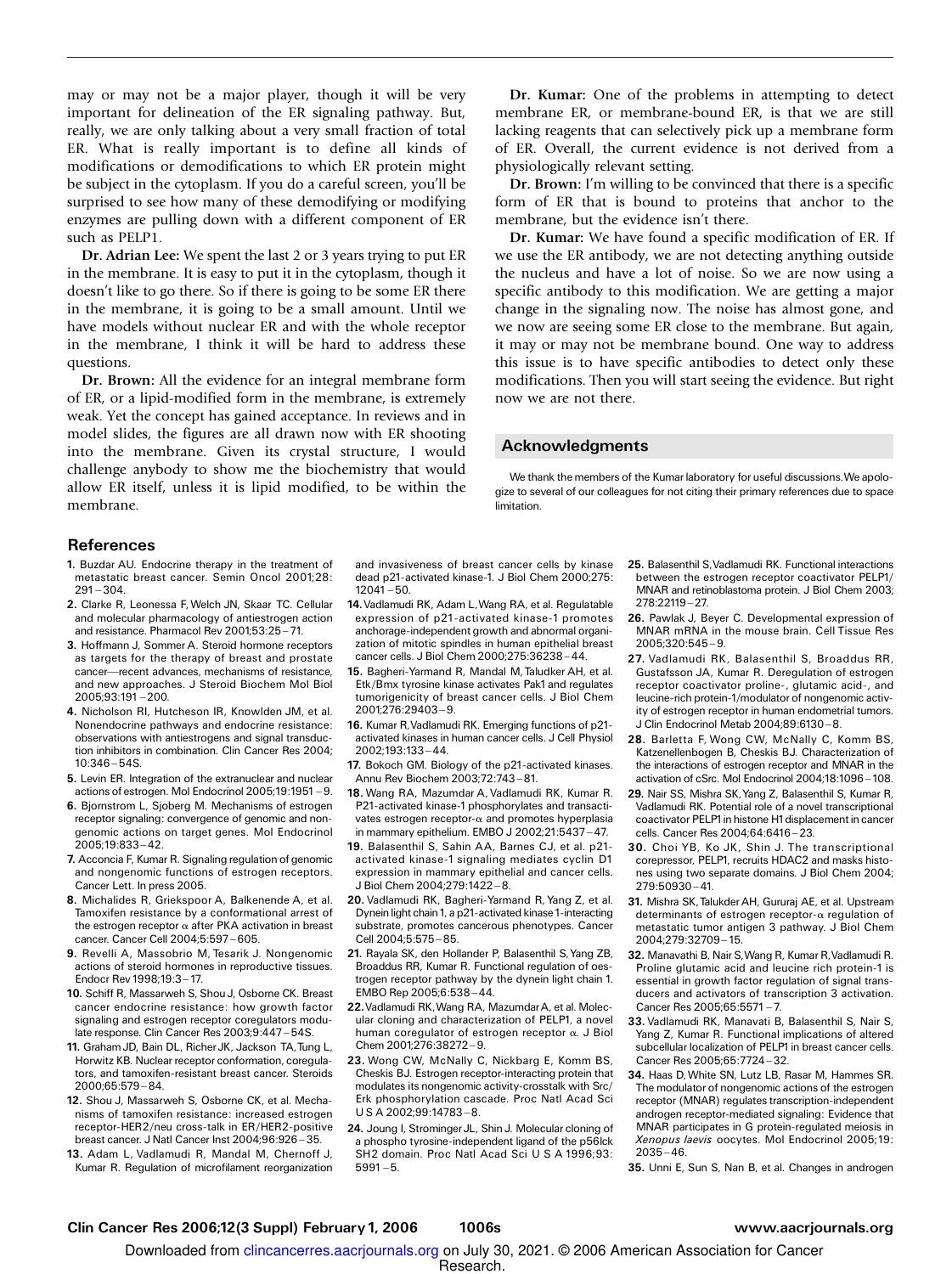may or may not be a major player, though it will be very important for delineation of the ER signaling pathway. But, really, we are only talking about a very small fraction of total ER. What is really important is to define all kinds of modifications or demodifications to which ER protein might be subject in the cytoplasm. If you do a careful screen, you'll be surprised to see how many of these demodifying or modifying enzymes are pulling down with a different component of ER such as PELP1.

Dr. Adrian Lee: We spent the last 2 or 3 years trying to put ER in the membrane. It is easy to put it in the cytoplasm, though it doesn't like to go there. So if there is going to be some ER there in the membrane, it is going to be a small amount. Until we have models without nuclear ER and with the whole receptor in the membrane, I think it will be hard to address these questions.

Dr. Brown: All the evidence for an integral membrane form of ER, or a lipid-modified form in the membrane, is extremely weak. Yet the concept has gained acceptance. In reviews and in model slides, the figures are all drawn now with ER shooting into the membrane. Given its crystal structure, I would challenge anybody to show me the biochemistry that would allow ER itself, unless it is lipid modified, to be within the membrane.

Dr. Kumar: One of the problems in attempting to detect membrane ER, or membrane-bound ER, is that we are still lacking reagents that can selectively pick up a membrane form of ER. Overall, the current evidence is not derived from a physiologically relevant setting.

Dr. Brown: I'm willing to be convinced that there is a specific form of ER that is bound to proteins that anchor to the membrane, but the evidence isn't there.

Dr. Kumar: We have found a specific modification of ER. If we use the ER antibody, we are not detecting anything outside the nucleus and have a lot of noise. So we are now using a specific antibody to this modification. We are getting a major change in the signaling now. The noise has almost gone, and we now are seeing some ER close to the membrane. But again, it may or may not be membrane bound. One way to address this issue is to have specific antibodies to detect only these modifications. Then you will start seeing the evidence. But right now we are not there.

#### Acknowledgments

We thank the members of the Kumar laboratory for useful discussions.We apologize to several of our colleagues for not citing their primary references due to space limitation.

#### References

- 1. Buzdar AU. Endocrine therapy in the treatment of metastatic breast cancer. Semin Oncol 2001;28:  $291 - 304.$
- 2. Clarke R, Leonessa F,Welch JN, Skaar TC. Cellular and molecular pharmacology of antiestrogen action and resistance. Pharmacol Rev 2001;53:25 ^ 71.
- 3. Hoffmann J, Sommer A. Steroid hormone receptors as targets for the therapy of breast and prostate cancer—recent advances, mechanisms of resistance, and new approaches. J Steroid Biochem Mol Biol 2005;93:191 ^ 200.
- 4. Nicholson RI, Hutcheson IR, Knowlden JM, et al. Nonendocrine pathways and endocrine resistance: observations with antiestrogens and signal transduction inhibitors in combination. Clin Cancer Res 2004;  $10:346 - 54S$ .
- 5. Levin ER. Integration of the extranuclear and nuclear actions of estrogen. Mol Endocrinol 2005;19:1951 ^ 9.
- 6. Bjornstrom L, Sjoberg M. Mechanisms of estrogen receptor signaling: convergence of genomic and nongenomic actions on target genes. Mol Endocrinol 2005;19:833 ^ 42.
- 7. Acconcia F, Kumar R. Signaling regulation of genomic and nongenomic functions of estrogen receptors. Cancer Lett. In press 2005.
- 8. Michalides R, Griekspoor A, Balkenende A, et al. Tamoxifen resistance by a conformational arrest of the estrogen receptor  $\alpha$  after PKA activation in breast cancer. Cancer Cell 2004;5:597-605.
- 9. Revelli A, Massobrio M, Tesarik J. Nongenomic actions of steroid hormones in reproductive tissues. Endocr Rev 1998;19:3-17.
- 10. Schiff R, Massarweh S, Shou J, Osborne CK. Breast cancer endocrine resistance: how growth factor signaling and estrogen receptor coregulators modulate response. Clin Cancer Res 2003;9:447-54S.
- 11. Graham JD, Bain DL, RicherJK, Jackson TA,Tung L, Horwitz KB. Nuclear receptor conformation, coregulators, and tamoxifen-resistant breast cancer. Steroids 2000;65:579-84.
- 12. Shou J, Massarweh S, Osborne CK, et al. Mechanisms of tamoxifen resistance: increased estrogen receptor-HER2/neu cross-talk in ER/HER2-positive breast cancer. J Natl Cancer Inst 2004:96:926-35.
- 13. Adam L, Vadlamudi R, Mandal M, Chernoff J, Kumar R. Regulation of microfilament reorganization

and invasiveness of breast cancer cells by kinase dead p21-activated kinase-1. J Biol Chem 2000;275:  $12041 - 50.$ 

- 14.Vadlamudi RK, Adam L,Wang RA, et al. Regulatable expression of p21-activated kinase-1 promotes anchorage-independent growth and abnormal organization of mitotic spindles in human epithelial breast cancer cells. J Biol Chem 2000;275:36238 ^ 44.
- 15. Bagheri-Yarmand R, Mandal M, Taludker AH, et al. Etk/Bmx tyrosine kinase activates Pak1 and regulates tumorigenicity of breast cancer cells. J Biol Chem 2001;276:29403 ^ 9.
- 16. Kumar R,Vadlamudi RK. Emerging functions of p21 activated kinases in human cancer cells. J Cell Physiol 2002;193:133 ^ 44.
- 17. Bokoch GM. Biology of the p21-activated kinases. Annu Rev Biochem 2003;72:743 ^ 81.
- 18. Wang RA, Mazumdar A, Vadlamudi RK, Kumar R. P21-activated kinase-1 phosphorylates and transactivates estrogen receptor- $\alpha$  and promotes hyperplasia in mammary epithelium. EMBO J 2002;21:5437 ^ 47.
- 19. Balasenthil S, Sahin AA, Barnes CJ, et al. p21 activated kinase-1 signaling mediates cyclin D1 expression in mammary epithelial and cancer cells. J Biol Chem 2004:279:1422-8.
- 20. Vadlamudi RK, Bagheri-Yarmand R, Yang Z, et al. Dynein light chain1, a p21-activated kinase1-interacting substrate, promotes cancerous phenotypes. Cancer Cell 2004;5:575-85.
- 21. Rayala SK, den Hollander P, Balasenthil S,Yang ZB, Broaddus RR, Kumar R. Functional regulation of oestrogen receptor pathway by the dynein light chain 1. EMBO Rep 2005;6:538 ^ 44.
- 22. Vadlamudi RK, Wang RA, Mazumdar A, et al. Molecular cloning and characterization of PELP1, a novel human coregulator of estrogen receptor a. J Biol Chem 2001:276:38272-9.
- 23. Wong CW, McNally C, Nickbarg E, Komm BS, Cheskis BJ. Estrogen receptor-interacting protein that modulates its nongenomic activity-crosstalk with Src/ Erk phosphorylation cascade. Proc Natl Acad Sci  $US A 2002; 99: 14783 - 8.$
- 24. Joung I, Strominger JL, Shin J. Molecular cloning of a phospho tyrosine-independent ligand of the p56lck SH2 domain. Proc Natl Acad Sci U S A 1996;93:  $5991 - 5.$
- 25. Balasenthil S,Vadlamudi RK. Functional interactions between the estrogen receptor coactivator PELP1/ MNAR and retinoblastoma protein. J Biol Chem 2003; 278:22119 - 27.
- 26. Pawlak J, Beyer C. Developmental expression of MNAR mRNA in the mouse brain. Cell Tissue Res 2005:320:545-9.
- 27. Vadlamudi RK, Balasenthil S, Broaddus RR, Gustafsson JA, Kumar R. Deregulation of estrogen receptor coactivator proline-, glutamic acid-, and leucine-rich protein-1/modulator of nongenomic activity of estrogen receptor in human endometrial tumors. J Clin Endocrinol Metab 2004;89:6130-8.
- 28. Barletta F, Wong CW, McNally C, Komm BS, Katzenellenbogen B, Cheskis BJ. Characterization of the interactions of estrogen receptor and MNAR in the activation of cSrc. Mol Endocrinol 2004;18:1096 ^ 108.
- 29. Nair SS, Mishra SK,Yang Z, Balasenthil S, Kumar R, Vadlamudi RK. Potential role of a novel transcriptional coactivator PELP1 in histone H1 displacement in cancer cells. Cancer Res 2004;64:6416 ^ 23.
- 30. Choi YB, Ko JK, Shin J. The transcriptional corepressor, PELP1, recruits HDAC2 and masks histones using two separate domains. J Biol Chem 2004; 279:50930-41.
- 31. Mishra SK, Talukder AH, Gururaj AE, et al. Upstream determinants of estrogen receptor- $\alpha$  regulation of metastatic tumor antigen 3 pathway. J Biol Chem 2004;279:32709 ^ 15.
- 32. Manavathi B, Nair S,Wang R, Kumar R,Vadlamudi R. Proline glutamic acid and leucine rich protein-1 is essential in growth factor regulation of signal transducers and activators of transcription 3 activation. Cancer Res 2005;65:5571-7.
- 33. Vadlamudi RK, Manavati B, Balasenthil S, Nair S, Yang Z, Kumar R. Functional implications of altered subcellular localization of PELP1 in breast cancer cells. Cancer Res 2005;65:7724-32.
- 34. Haas D,White SN, Lutz LB, Rasar M, Hammes SR. The modulator of nongenomic actions of the estrogen receptor (MNAR) regulates transcription-independent androgen receptor-mediated signaling: Evidence that MNAR participates in G protein-regulated meiosis in Xenopus laevis oocytes. Mol Endocrinol 2005;19:  $2035 - 46.$
- 35. Unni E, Sun S, Nan B, et al. Changes in androgen

Downloaded from clincancerres.aacrjournals.org on July 30, 2021. © 2006 American Association for Cancer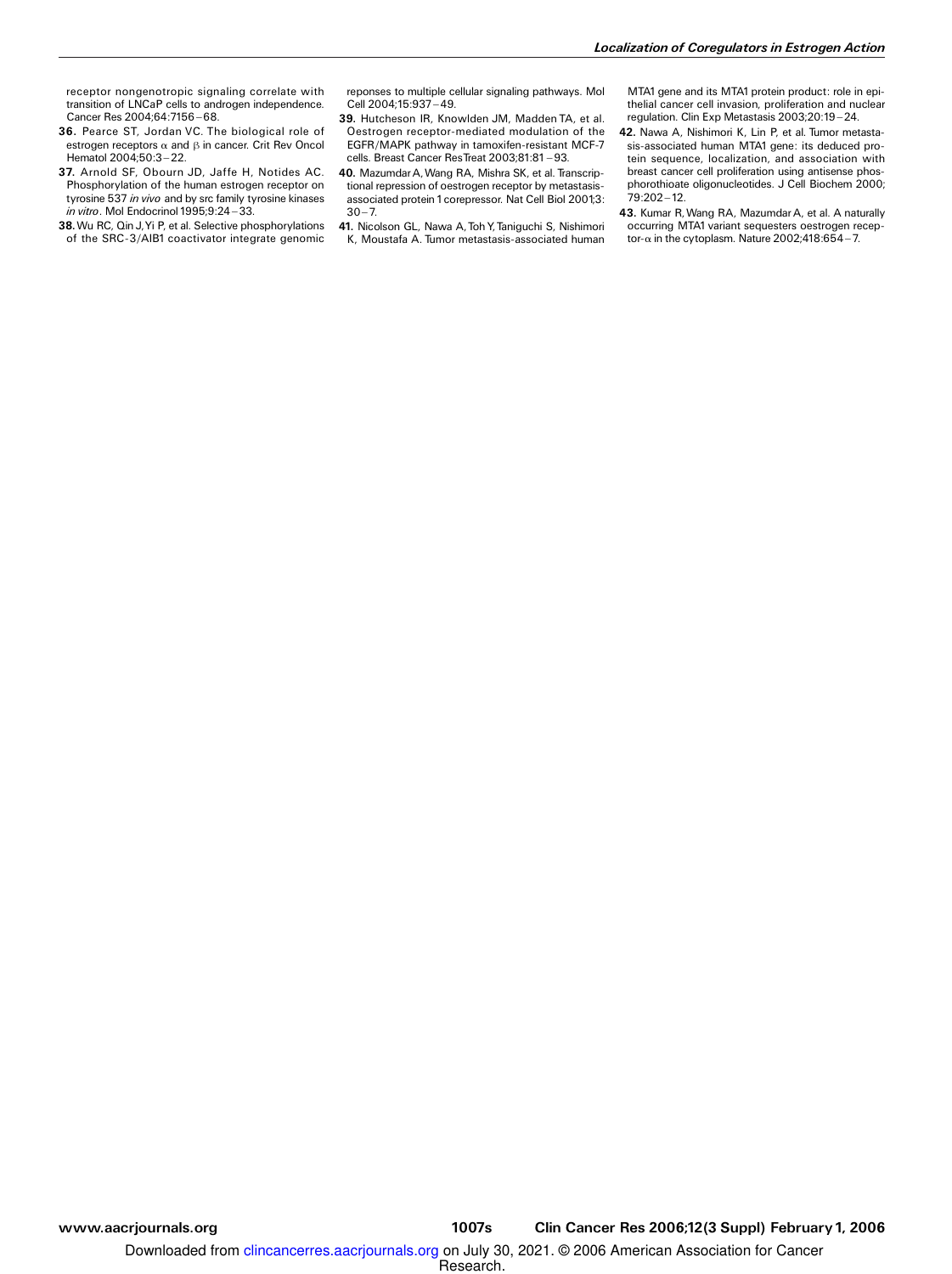receptor nongenotropic signaling correlate with transition of LNCaP cells to androgen independence. Cancer Res 2004;64:7156-68.

- 36. Pearce ST, Jordan VC. The biological role of estrogen receptors  $\alpha$  and  $\beta$  in cancer. Crit Rev Oncol Hematol 2004;50:3-22.
- 37. Arnold SF, Obourn JD, Jaffe H, Notides AC. Phosphorylation of the human estrogen receptor on tyrosine 537 in vivo and by src family tyrosine kinases in vitro. Mol Endocrinol 1995;9:24-33.
- 38.Wu RC, Qin J,Yi P, et al. Selective phosphorylations of the SRC-3/AIB1 coactivator integrate genomic

reponses to multiple cellular signaling pathways. Mol Cell 2004;15:937-49.

- 39. Hutcheson IR, Knowlden JM, Madden TA, et al. Oestrogen receptor-mediated modulation of the EGFR/MAPK pathway in tamoxifen-resistant MCF-7 cells. Breast Cancer ResTreat 2003;81:81-93.
- 40. Mazumdar A,Wang RA, Mishra SK, et al. Transcriptional repression of oestrogen receptor by metastasisassociated protein 1corepressor. Nat Cell Biol 2001;3:  $30 - 7.$
- 41. Nicolson GL, Nawa A,Toh Y,Taniguchi S, Nishimori K, Moustafa A. Tumor metastasis-associated human

MTA1 gene and its MTA1 protein product: role in epithelial cancer cell invasion, proliferation and nuclear regulation. Clin Exp Metastasis 2003;20:19-24.

- 42. Nawa A, Nishimori K, Lin P, et al. Tumor metastasis-associated human MTA1 gene: its deduced protein sequence, localization, and association with breast cancer cell proliferation using antisense phosphorothioate oligonucleotides. J Cell Biochem 2000; 79:202 ^ 12.
- 43. Kumar R,Wang RA, Mazumdar A, et al. A naturally occurring MTA1 variant sequesters oestrogen receptor- $\alpha$  in the cytoplasm. Nature 2002;418:654 - 7.